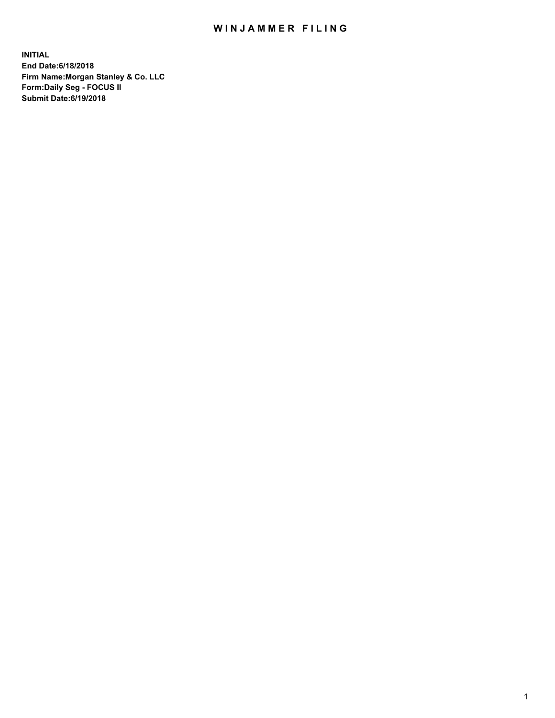## WIN JAMMER FILING

**INITIAL End Date:6/18/2018 Firm Name:Morgan Stanley & Co. LLC Form:Daily Seg - FOCUS II Submit Date:6/19/2018**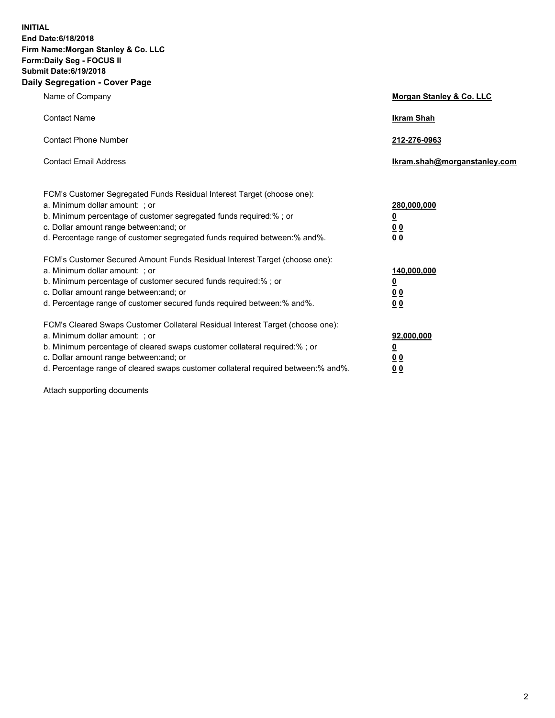**INITIAL End Date:6/18/2018 Firm Name:Morgan Stanley & Co. LLC Form:Daily Seg - FOCUS II Submit Date:6/19/2018 Daily Segregation - Cover Page**

| Name of Company                                                                                                                                                                                                                                                                                                                | Morgan Stanley & Co. LLC                               |
|--------------------------------------------------------------------------------------------------------------------------------------------------------------------------------------------------------------------------------------------------------------------------------------------------------------------------------|--------------------------------------------------------|
| <b>Contact Name</b>                                                                                                                                                                                                                                                                                                            | <b>Ikram Shah</b>                                      |
| <b>Contact Phone Number</b>                                                                                                                                                                                                                                                                                                    | 212-276-0963                                           |
| <b>Contact Email Address</b>                                                                                                                                                                                                                                                                                                   | lkram.shah@morganstanley.com                           |
| FCM's Customer Segregated Funds Residual Interest Target (choose one):<br>a. Minimum dollar amount: ; or<br>b. Minimum percentage of customer segregated funds required:% ; or<br>c. Dollar amount range between: and; or<br>d. Percentage range of customer segregated funds required between:% and%.                         | 280,000,000<br><u>0</u><br><u>0 0</u><br>0 Q           |
| FCM's Customer Secured Amount Funds Residual Interest Target (choose one):<br>a. Minimum dollar amount: ; or<br>b. Minimum percentage of customer secured funds required:%; or<br>c. Dollar amount range between: and; or<br>d. Percentage range of customer secured funds required between:% and%.                            | 140,000,000<br><u>0</u><br><u>00</u><br>0 <sub>0</sub> |
| FCM's Cleared Swaps Customer Collateral Residual Interest Target (choose one):<br>a. Minimum dollar amount: ; or<br>b. Minimum percentage of cleared swaps customer collateral required:% ; or<br>c. Dollar amount range between: and; or<br>d. Percentage range of cleared swaps customer collateral required between:% and%. | 92,000,000<br><u>0</u><br><u>00</u><br>0 <sup>0</sup>  |

Attach supporting documents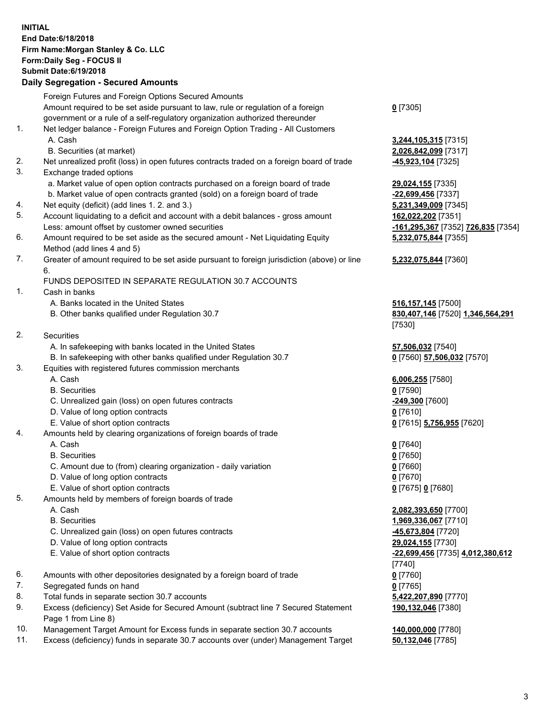## **INITIAL End Date:6/18/2018 Firm Name:Morgan Stanley & Co. LLC Form:Daily Seg - FOCUS II Submit Date:6/19/2018**

## **Daily Segregation - Secured Amounts**

|     | Foreign Futures and Foreign Options Secured Amounts                                                                                                              |                                              |
|-----|------------------------------------------------------------------------------------------------------------------------------------------------------------------|----------------------------------------------|
|     | Amount required to be set aside pursuant to law, rule or regulation of a foreign<br>government or a rule of a self-regulatory organization authorized thereunder | $0$ [7305]                                   |
| 1.  | Net ledger balance - Foreign Futures and Foreign Option Trading - All Customers                                                                                  |                                              |
|     | A. Cash                                                                                                                                                          | <u>3,244,105,315</u> [7315]                  |
|     | B. Securities (at market)                                                                                                                                        | 2,026,842,099 [7317]                         |
| 2.  | Net unrealized profit (loss) in open futures contracts traded on a foreign board of trade                                                                        | 45,923,104 [7325]                            |
| 3.  | Exchange traded options                                                                                                                                          |                                              |
|     | a. Market value of open option contracts purchased on a foreign board of trade                                                                                   | 29,024,155 [7335]                            |
|     | b. Market value of open contracts granted (sold) on a foreign board of trade                                                                                     | -22,699,456 [7337]                           |
| 4.  | Net equity (deficit) (add lines 1.2. and 3.)                                                                                                                     | 5,231,349,009 [7345]                         |
| 5.  | Account liquidating to a deficit and account with a debit balances - gross amount                                                                                | 162,022,202 [7351]                           |
|     | Less: amount offset by customer owned securities                                                                                                                 | -161,295,367 [7352]                          |
| 6.  | Amount required to be set aside as the secured amount - Net Liquidating Equity                                                                                   | 5,232,075,844 [7355]                         |
|     | Method (add lines 4 and 5)                                                                                                                                       |                                              |
| 7.  | Greater of amount required to be set aside pursuant to foreign jurisdiction (above) or line<br>6.                                                                | 5,232,075,844 [7360]                         |
|     | FUNDS DEPOSITED IN SEPARATE REGULATION 30.7 ACCOUNTS                                                                                                             |                                              |
| 1.  | Cash in banks                                                                                                                                                    |                                              |
|     | A. Banks located in the United States                                                                                                                            | 516, 157, 145 [7500]                         |
|     | B. Other banks qualified under Regulation 30.7                                                                                                                   | 830,407,146 [7520] 1                         |
|     |                                                                                                                                                                  | [7530]                                       |
| 2.  | Securities                                                                                                                                                       |                                              |
|     | A. In safekeeping with banks located in the United States                                                                                                        | 57,506,032 [7540]                            |
|     | B. In safekeeping with other banks qualified under Regulation 30.7                                                                                               | 0 [7560] 57,506,032                          |
| 3.  | Equities with registered futures commission merchants                                                                                                            |                                              |
|     | A. Cash                                                                                                                                                          | 6,006,255 [7580]                             |
|     | <b>B.</b> Securities                                                                                                                                             | $0$ [7590]                                   |
|     | C. Unrealized gain (loss) on open futures contracts                                                                                                              | -249,300 [7600]                              |
|     | D. Value of long option contracts                                                                                                                                | $0$ [7610]                                   |
|     | E. Value of short option contracts                                                                                                                               | 0 [7615] 5,756,955 [7                        |
| 4.  | Amounts held by clearing organizations of foreign boards of trade                                                                                                |                                              |
|     | A. Cash                                                                                                                                                          | $0$ [7640]                                   |
|     | <b>B.</b> Securities                                                                                                                                             | $0$ [7650]                                   |
|     | C. Amount due to (from) clearing organization - daily variation                                                                                                  | $0$ [7660]                                   |
|     | D. Value of long option contracts                                                                                                                                | $0$ [7670]                                   |
|     | E. Value of short option contracts                                                                                                                               | 0 [7675] 0 [7680]                            |
| 5.  | Amounts held by members of foreign boards of trade                                                                                                               |                                              |
|     | A. Cash                                                                                                                                                          | 2,082,393,650 [7700]                         |
|     | <b>B.</b> Securities                                                                                                                                             | 1,969,336,067 [7710]                         |
|     | C. Unrealized gain (loss) on open futures contracts                                                                                                              | -45,673,804 [7720]                           |
|     | D. Value of long option contracts                                                                                                                                | 29,024,155 [7730]                            |
|     | E. Value of short option contracts                                                                                                                               | <mark>-22,699,456</mark> [7735] 4.<br>[7740] |
| 6.  | Amounts with other depositories designated by a foreign board of trade                                                                                           | $0$ [7760]                                   |
| 7.  | Segregated funds on hand                                                                                                                                         | $0$ [7765]                                   |
| 8.  | Total funds in separate section 30.7 accounts                                                                                                                    | 5,422,207,890 [7770]                         |
| 9.  | Excess (deficiency) Set Aside for Secured Amount (subtract line 7 Secured Statement<br>Page 1 from Line 8)                                                       | 190,132,046 [7380]                           |
| 10. | Management Target Amount for Excess funds in separate section 30.7 accounts                                                                                      | 140,000,000 [7780]                           |
|     |                                                                                                                                                                  |                                              |

11. Excess (deficiency) funds in separate 30.7 accounts over (under) Management Target **50,132,046** [7785]

Less: amount offset by customer owned securities **-161,295,367** [7352] **726,835** [7354] **5,232,075,844** [7355]

## **5,232,075,844** [7360]

B. Other banks qualified under Regulation 30.7 **830,407,146** [7520] **1,346,564,291**

**B. 12, 1306,032** [7570]

E. Value of short option contracts **0** [7615] **5,756,955** [7620]

 E. Value of short option contracts **-22,699,456** [7735] **4,012,380,612 190,132,046** [7380]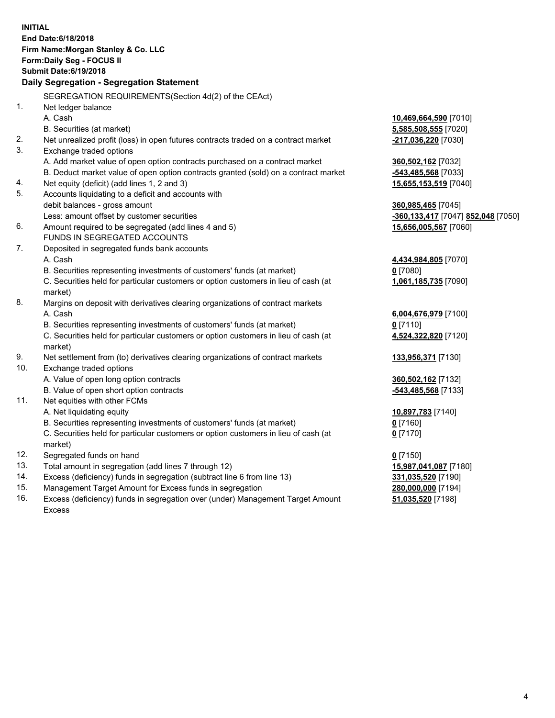|                | <b>INITIAL</b><br>End Date: 6/18/2018<br>Firm Name: Morgan Stanley & Co. LLC<br>Form: Daily Seg - FOCUS II<br><b>Submit Date:6/19/2018</b>                    |                                    |
|----------------|---------------------------------------------------------------------------------------------------------------------------------------------------------------|------------------------------------|
|                | Daily Segregation - Segregation Statement                                                                                                                     |                                    |
|                | SEGREGATION REQUIREMENTS(Section 4d(2) of the CEAct)                                                                                                          |                                    |
| 1 <sub>1</sub> | Net ledger balance                                                                                                                                            |                                    |
|                | A. Cash                                                                                                                                                       | 10,469,664,590 [7010]              |
|                | B. Securities (at market)                                                                                                                                     | 5,585,508,555 [7020]               |
| 2.             | Net unrealized profit (loss) in open futures contracts traded on a contract market                                                                            | -217,036,220 [7030]                |
| 3.             | Exchange traded options                                                                                                                                       |                                    |
|                | A. Add market value of open option contracts purchased on a contract market                                                                                   | 360,502,162 [7032]                 |
|                | B. Deduct market value of open option contracts granted (sold) on a contract market                                                                           | -543,485,568 [7033]                |
| 4.             | Net equity (deficit) (add lines 1, 2 and 3)                                                                                                                   | 15,655,153,519 [7040]              |
| 5.             | Accounts liquidating to a deficit and accounts with                                                                                                           |                                    |
|                | debit balances - gross amount                                                                                                                                 | 360,985,465 [7045]                 |
|                | Less: amount offset by customer securities                                                                                                                    | -360,133,417 [7047] 852,048 [7050] |
| 6.             | Amount required to be segregated (add lines 4 and 5)                                                                                                          | 15,656,005,567 [7060]              |
|                | FUNDS IN SEGREGATED ACCOUNTS                                                                                                                                  |                                    |
| 7.             | Deposited in segregated funds bank accounts                                                                                                                   |                                    |
|                | A. Cash                                                                                                                                                       | 4,434,984,805 [7070]               |
|                | B. Securities representing investments of customers' funds (at market)<br>C. Securities held for particular customers or option customers in lieu of cash (at | $0$ [7080]                         |
|                |                                                                                                                                                               | 1,061,185,735 [7090]               |
| 8.             | market)<br>Margins on deposit with derivatives clearing organizations of contract markets                                                                     |                                    |
|                | A. Cash                                                                                                                                                       |                                    |
|                | B. Securities representing investments of customers' funds (at market)                                                                                        | 6,004,676,979 [7100]<br>$0$ [7110] |
|                | C. Securities held for particular customers or option customers in lieu of cash (at                                                                           |                                    |
|                | market)                                                                                                                                                       | 4,524,322,820 [7120]               |
| 9.             | Net settlement from (to) derivatives clearing organizations of contract markets                                                                               | 133,956,371 [7130]                 |
| 10.            | Exchange traded options                                                                                                                                       |                                    |
|                | A. Value of open long option contracts                                                                                                                        | 360,502,162 [7132]                 |
|                | B. Value of open short option contracts                                                                                                                       | -543,485,568 [7133]                |
| 11.            | Net equities with other FCMs                                                                                                                                  |                                    |
|                | A. Net liquidating equity                                                                                                                                     | 10,897,783 [7140]                  |
|                | B. Securities representing investments of customers' funds (at market)                                                                                        | $0$ [7160]                         |
|                | C. Securities held for particular customers or option customers in lieu of cash (at                                                                           | $0$ [7170]                         |
|                | market)                                                                                                                                                       |                                    |
| 12.            | Segregated funds on hand                                                                                                                                      | $0$ [7150]                         |
| 13.            | Total amount in segregation (add lines 7 through 12)                                                                                                          | 15,987,041,087 [7180]              |
| 14.            | Excess (deficiency) funds in segregation (subtract line 6 from line 13)                                                                                       | 331,035,520 [7190]                 |
| 15.            | Management Target Amount for Excess funds in segregation                                                                                                      | 280,000,000 [7194]                 |
| 16.            | Excess (deficiency) funds in segregation over (under) Management Target Amount                                                                                | 51,035,520 [7198]                  |

16. Excess (deficiency) funds in segregation over (under) Management Target Amount Excess